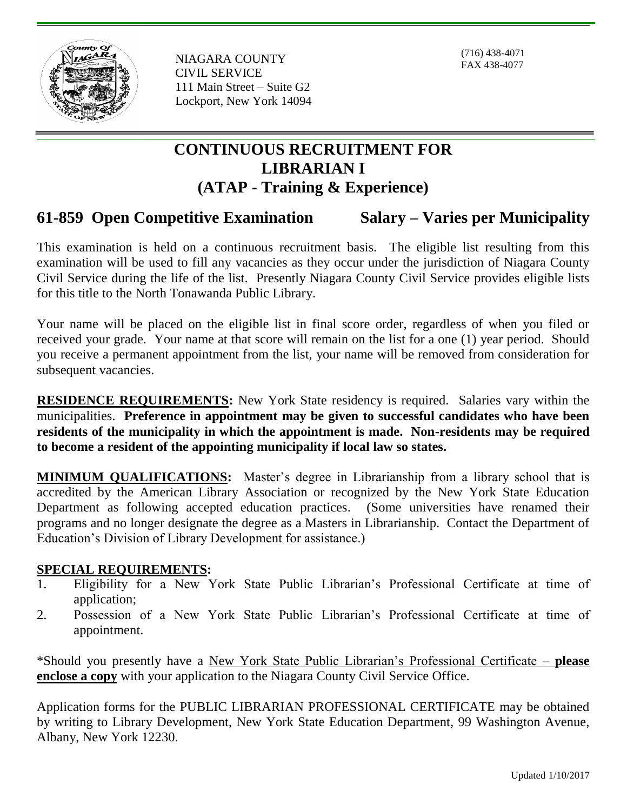

NIAGARA COUNTY CIVIL SERVICE 111 Main Street – Suite G2 Lockport, New York 14094

(716) 438-4071 FAX 438-4077

# **CONTINUOUS RECRUITMENT FOR LIBRARIAN I (ATAP - Training & Experience)**

## **61-859 Open Competitive Examination Salary – Varies per Municipality**

This examination is held on a continuous recruitment basis. The eligible list resulting from this examination will be used to fill any vacancies as they occur under the jurisdiction of Niagara County Civil Service during the life of the list. Presently Niagara County Civil Service provides eligible lists for this title to the North Tonawanda Public Library.

Your name will be placed on the eligible list in final score order, regardless of when you filed or received your grade. Your name at that score will remain on the list for a one (1) year period. Should you receive a permanent appointment from the list, your name will be removed from consideration for subsequent vacancies.

**RESIDENCE REQUIREMENTS:** New York State residency is required. Salaries vary within the municipalities. **Preference in appointment may be given to successful candidates who have been residents of the municipality in which the appointment is made. Non-residents may be required to become a resident of the appointing municipality if local law so states.**

**MINIMUM QUALIFICATIONS:** Master's degree in Librarianship from a library school that is accredited by the American Library Association or recognized by the New York State Education Department as following accepted education practices. (Some universities have renamed their programs and no longer designate the degree as a Masters in Librarianship. Contact the Department of Education's Division of Library Development for assistance.)

#### **SPECIAL REQUIREMENTS:**

- 1. Eligibility for a New York State Public Librarian's Professional Certificate at time of application;
- 2. Possession of a New York State Public Librarian's Professional Certificate at time of appointment.

\*Should you presently have a New York State Public Librarian's Professional Certificate – **please enclose a copy** with your application to the Niagara County Civil Service Office.

Application forms for the PUBLIC LIBRARIAN PROFESSIONAL CERTIFICATE may be obtained by writing to Library Development, New York State Education Department, 99 Washington Avenue, Albany, New York 12230.